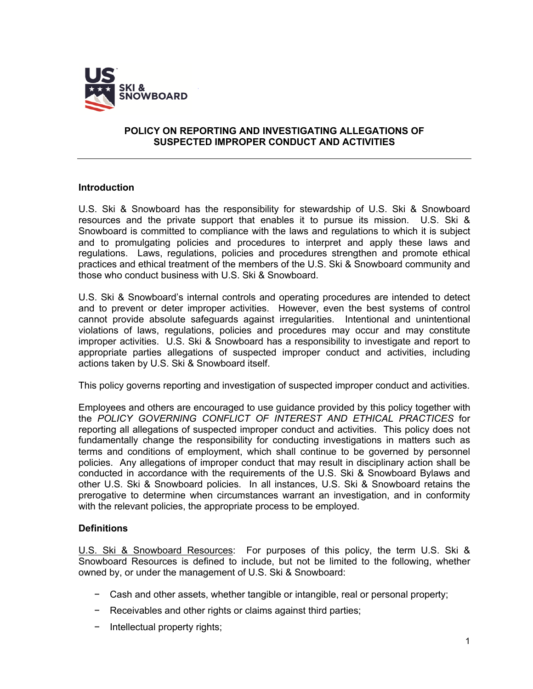

## **POLICY ON REPORTING AND INVESTIGATING ALLEGATIONS OF SUSPECTED IMPROPER CONDUCT AND ACTIVITIES**

## **Introduction**

U.S. Ski & Snowboard has the responsibility for stewardship of U.S. Ski & Snowboard resources and the private support that enables it to pursue its mission. U.S. Ski & Snowboard is committed to compliance with the laws and regulations to which it is subject and to promulgating policies and procedures to interpret and apply these laws and regulations. Laws, regulations, policies and procedures strengthen and promote ethical practices and ethical treatment of the members of the U.S. Ski & Snowboard community and those who conduct business with U.S. Ski & Snowboard.

U.S. Ski & Snowboard's internal controls and operating procedures are intended to detect and to prevent or deter improper activities. However, even the best systems of control cannot provide absolute safeguards against irregularities. Intentional and unintentional violations of laws, regulations, policies and procedures may occur and may constitute improper activities. U.S. Ski & Snowboard has a responsibility to investigate and report to appropriate parties allegations of suspected improper conduct and activities, including actions taken by U.S. Ski & Snowboard itself.

This policy governs reporting and investigation of suspected improper conduct and activities.

Employees and others are encouraged to use guidance provided by this policy together with the *POLICY GOVERNING CONFLICT OF INTEREST AND ETHICAL PRACTICES* for reporting all allegations of suspected improper conduct and activities. This policy does not fundamentally change the responsibility for conducting investigations in matters such as terms and conditions of employment, which shall continue to be governed by personnel policies. Any allegations of improper conduct that may result in disciplinary action shall be conducted in accordance with the requirements of the U.S. Ski & Snowboard Bylaws and other U.S. Ski & Snowboard policies. In all instances, U.S. Ski & Snowboard retains the prerogative to determine when circumstances warrant an investigation, and in conformity with the relevant policies, the appropriate process to be employed.

## **Definitions**

U.S. Ski & Snowboard Resources: For purposes of this policy, the term U.S. Ski & Snowboard Resources is defined to include, but not be limited to the following, whether owned by, or under the management of U.S. Ski & Snowboard:

- − Cash and other assets, whether tangible or intangible, real or personal property;
- − Receivables and other rights or claims against third parties;
- − Intellectual property rights;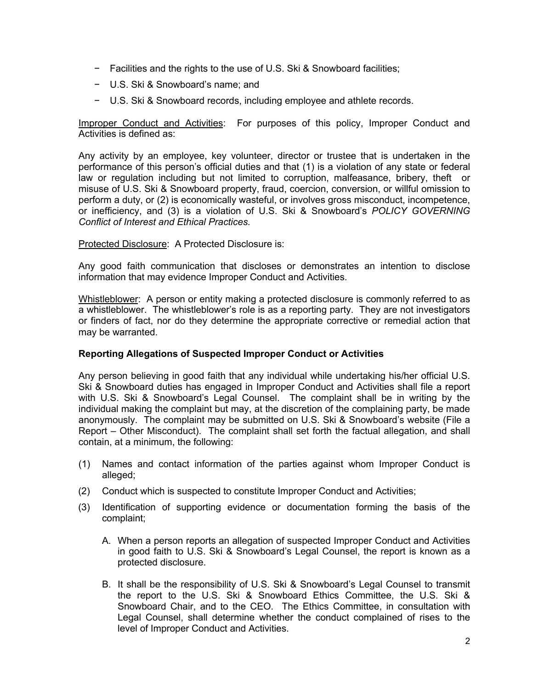- − Facilities and the rights to the use of U.S. Ski & Snowboard facilities;
- − U.S. Ski & Snowboard's name; and
- − U.S. Ski & Snowboard records, including employee and athlete records.

Improper Conduct and Activities: For purposes of this policy, Improper Conduct and Activities is defined as:

Any activity by an employee, key volunteer, director or trustee that is undertaken in the performance of this person's official duties and that (1) is a violation of any state or federal law or regulation including but not limited to corruption, malfeasance, bribery, theft or misuse of U.S. Ski & Snowboard property, fraud, coercion, conversion, or willful omission to perform a duty, or (2) is economically wasteful, or involves gross misconduct, incompetence, or inefficiency, and (3) is a violation of U.S. Ski & Snowboard's *POLICY GOVERNING Conflict of Interest and Ethical Practices.*

Protected Disclosure: A Protected Disclosure is:

Any good faith communication that discloses or demonstrates an intention to disclose information that may evidence Improper Conduct and Activities.

Whistleblower: A person or entity making a protected disclosure is commonly referred to as a whistleblower. The whistleblower's role is as a reporting party. They are not investigators or finders of fact, nor do they determine the appropriate corrective or remedial action that may be warranted.

## **Reporting Allegations of Suspected Improper Conduct or Activities**

Any person believing in good faith that any individual while undertaking his/her official U.S. Ski & Snowboard duties has engaged in Improper Conduct and Activities shall file a report with U.S. Ski & Snowboard's Legal Counsel. The complaint shall be in writing by the individual making the complaint but may, at the discretion of the complaining party, be made anonymously. The complaint may be submitted on U.S. Ski & Snowboard's website (File a Report – Other Misconduct). The complaint shall set forth the factual allegation, and shall contain, at a minimum, the following:

- (1) Names and contact information of the parties against whom Improper Conduct is alleged;
- (2) Conduct which is suspected to constitute Improper Conduct and Activities;
- (3) Identification of supporting evidence or documentation forming the basis of the complaint;
	- A. When a person reports an allegation of suspected Improper Conduct and Activities in good faith to U.S. Ski & Snowboard's Legal Counsel, the report is known as a protected disclosure.
	- B. It shall be the responsibility of U.S. Ski & Snowboard's Legal Counsel to transmit the report to the U.S. Ski & Snowboard Ethics Committee, the U.S. Ski & Snowboard Chair, and to the CEO. The Ethics Committee, in consultation with Legal Counsel, shall determine whether the conduct complained of rises to the level of Improper Conduct and Activities.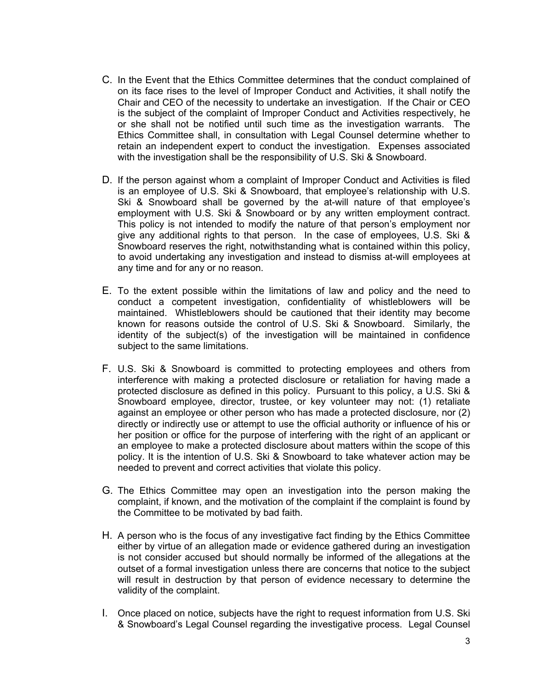- C. In the Event that the Ethics Committee determines that the conduct complained of on its face rises to the level of Improper Conduct and Activities, it shall notify the Chair and CEO of the necessity to undertake an investigation. If the Chair or CEO is the subject of the complaint of Improper Conduct and Activities respectively, he or she shall not be notified until such time as the investigation warrants. The Ethics Committee shall, in consultation with Legal Counsel determine whether to retain an independent expert to conduct the investigation. Expenses associated with the investigation shall be the responsibility of U.S. Ski & Snowboard.
- D. If the person against whom a complaint of Improper Conduct and Activities is filed is an employee of U.S. Ski & Snowboard, that employee's relationship with U.S. Ski & Snowboard shall be governed by the at-will nature of that employee's employment with U.S. Ski & Snowboard or by any written employment contract. This policy is not intended to modify the nature of that person's employment nor give any additional rights to that person. In the case of employees, U.S. Ski & Snowboard reserves the right, notwithstanding what is contained within this policy, to avoid undertaking any investigation and instead to dismiss at-will employees at any time and for any or no reason.
- E. To the extent possible within the limitations of law and policy and the need to conduct a competent investigation, confidentiality of whistleblowers will be maintained. Whistleblowers should be cautioned that their identity may become known for reasons outside the control of U.S. Ski & Snowboard. Similarly, the identity of the subject(s) of the investigation will be maintained in confidence subject to the same limitations.
- F. U.S. Ski & Snowboard is committed to protecting employees and others from interference with making a protected disclosure or retaliation for having made a protected disclosure as defined in this policy. Pursuant to this policy, a U.S. Ski & Snowboard employee, director, trustee, or key volunteer may not: (1) retaliate against an employee or other person who has made a protected disclosure, nor (2) directly or indirectly use or attempt to use the official authority or influence of his or her position or office for the purpose of interfering with the right of an applicant or an employee to make a protected disclosure about matters within the scope of this policy. It is the intention of U.S. Ski & Snowboard to take whatever action may be needed to prevent and correct activities that violate this policy.
- G. The Ethics Committee may open an investigation into the person making the complaint, if known, and the motivation of the complaint if the complaint is found by the Committee to be motivated by bad faith.
- H. A person who is the focus of any investigative fact finding by the Ethics Committee either by virtue of an allegation made or evidence gathered during an investigation is not consider accused but should normally be informed of the allegations at the outset of a formal investigation unless there are concerns that notice to the subject will result in destruction by that person of evidence necessary to determine the validity of the complaint.
- I. Once placed on notice, subjects have the right to request information from U.S. Ski & Snowboard's Legal Counsel regarding the investigative process. Legal Counsel